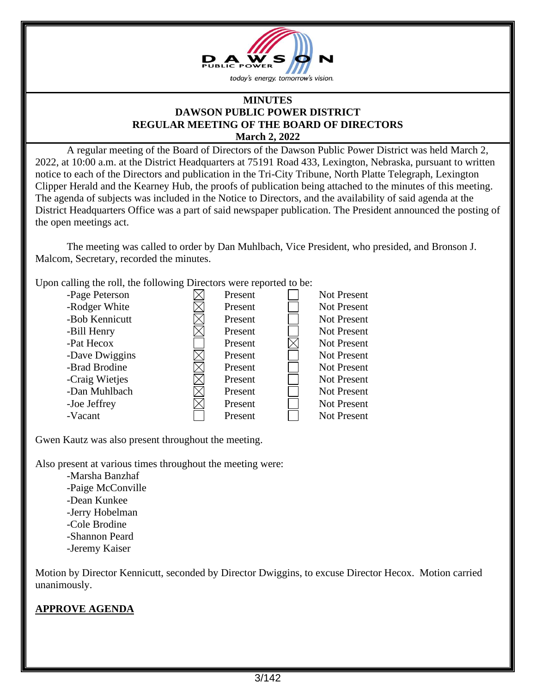

#### **MINUTES DAWSON PUBLIC POWER DISTRICT REGULAR MEETING OF THE BOARD OF DIRECTORS March 2, 2022**

A regular meeting of the Board of Directors of the Dawson Public Power District was held March 2, 2022, at 10:00 a.m. at the District Headquarters at 75191 Road 433, Lexington, Nebraska, pursuant to written notice to each of the Directors and publication in the Tri-City Tribune, North Platte Telegraph, Lexington Clipper Herald and the Kearney Hub, the proofs of publication being attached to the minutes of this meeting. The agenda of subjects was included in the Notice to Directors, and the availability of said agenda at the District Headquarters Office was a part of said newspaper publication. The President announced the posting of the open meetings act.

The meeting was called to order by Dan Muhlbach, Vice President, who presided, and Bronson J. Malcom, Secretary, recorded the minutes.

Upon calling the roll, the following Directors were reported to be:

| -Page Peterson | Present | Not Present        |
|----------------|---------|--------------------|
| -Rodger White  | Present | <b>Not Present</b> |
| -Bob Kennicutt | Present | <b>Not Present</b> |
| -Bill Henry    | Present | <b>Not Present</b> |
| -Pat Hecox     | Present | <b>Not Present</b> |
| -Dave Dwiggins | Present | <b>Not Present</b> |
| -Brad Brodine  | Present | Not Present        |
| -Craig Wietjes | Present | <b>Not Present</b> |
| -Dan Muhlbach  | Present | <b>Not Present</b> |
| -Joe Jeffrey   | Present | <b>Not Present</b> |
| -Vacant        | Present | Not Present        |

Gwen Kautz was also present throughout the meeting.

Also present at various times throughout the meeting were:

-Marsha Banzhaf -Paige McConville -Dean Kunkee -Jerry Hobelman -Cole Brodine -Shannon Peard -Jeremy Kaiser

Motion by Director Kennicutt, seconded by Director Dwiggins, to excuse Director Hecox. Motion carried unanimously.

# **APPROVE AGENDA**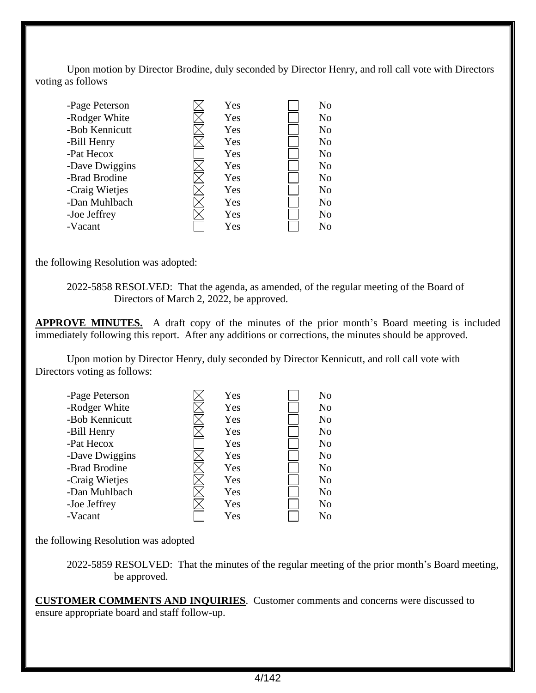Upon motion by Director Brodine, duly seconded by Director Henry, and roll call vote with Directors voting as follows

| Yes | N <sub>o</sub> |
|-----|----------------|
| Yes | N <sub>o</sub> |
| Yes | N <sub>o</sub> |
| Yes | N <sub>o</sub> |
| Yes | N <sub>o</sub> |
| Yes | N <sub>o</sub> |
| Yes | N <sub>o</sub> |
| Yes | N <sub>o</sub> |
| Yes | N <sub>o</sub> |
| Yes | N <sub>o</sub> |
| Yes | N <sub>o</sub> |
|     |                |

the following Resolution was adopted:

2022-5858 RESOLVED: That the agenda, as amended, of the regular meeting of the Board of Directors of March 2, 2022, be approved.

**APPROVE MINUTES.** A draft copy of the minutes of the prior month's Board meeting is included immediately following this report. After any additions or corrections, the minutes should be approved.

Upon motion by Director Henry, duly seconded by Director Kennicutt, and roll call vote with Directors voting as follows:

| -Page Peterson | Yes | N <sub>o</sub> |
|----------------|-----|----------------|
| -Rodger White  | Yes | N <sub>o</sub> |
| -Bob Kennicutt | Yes | N <sub>o</sub> |
| -Bill Henry    | Yes | N <sub>o</sub> |
| -Pat Hecox     | Yes | N <sub>o</sub> |
| -Dave Dwiggins | Yes | N <sub>o</sub> |
| -Brad Brodine  | Yes | N <sub>o</sub> |
| -Craig Wietjes | Yes | N <sub>o</sub> |
| -Dan Muhlbach  | Yes | N <sub>o</sub> |
| -Joe Jeffrey   | Yes | N <sub>o</sub> |
| -Vacant        | Yes | N <sub>o</sub> |

the following Resolution was adopted

2022-5859 RESOLVED: That the minutes of the regular meeting of the prior month's Board meeting, be approved.

**CUSTOMER COMMENTS AND INQUIRIES**. Customer comments and concerns were discussed to ensure appropriate board and staff follow-up.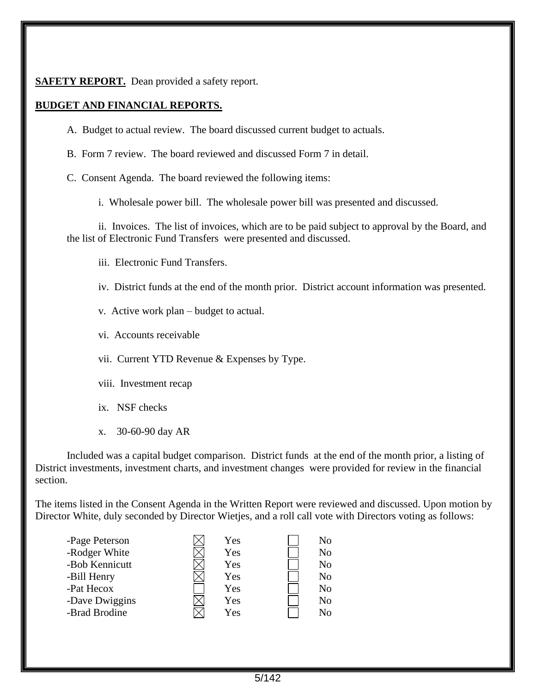### **SAFETY REPORT.** Dean provided a safety report.

### **BUDGET AND FINANCIAL REPORTS.**

- A. Budget to actual review. The board discussed current budget to actuals.
- B. Form 7 review. The board reviewed and discussed Form 7 in detail.
- C. Consent Agenda. The board reviewed the following items:
	- i. Wholesale power bill. The wholesale power bill was presented and discussed.

ii. Invoices. The list of invoices, which are to be paid subject to approval by the Board, and the list of Electronic Fund Transfers were presented and discussed.

iii. Electronic Fund Transfers.

- iv. District funds at the end of the month prior. District account information was presented.
- v. Active work plan budget to actual.
- vi. Accounts receivable
- vii. Current YTD Revenue & Expenses by Type.
- viii. Investment recap
- ix. NSF checks
- x. 30-60-90 day AR

Included was a capital budget comparison. District funds at the end of the month prior, a listing of District investments, investment charts, and investment changes were provided for review in the financial section.

The items listed in the Consent Agenda in the Written Report were reviewed and discussed. Upon motion by Director White, duly seconded by Director Wietjes, and a roll call vote with Directors voting as follows:

| Yes | No             |
|-----|----------------|
| Yes | N <sub>o</sub> |
| Yes | No             |
| Yes | N <sub>o</sub> |
| Yes | N <sub>o</sub> |
| Yes | No             |
| Yes | No             |
|     |                |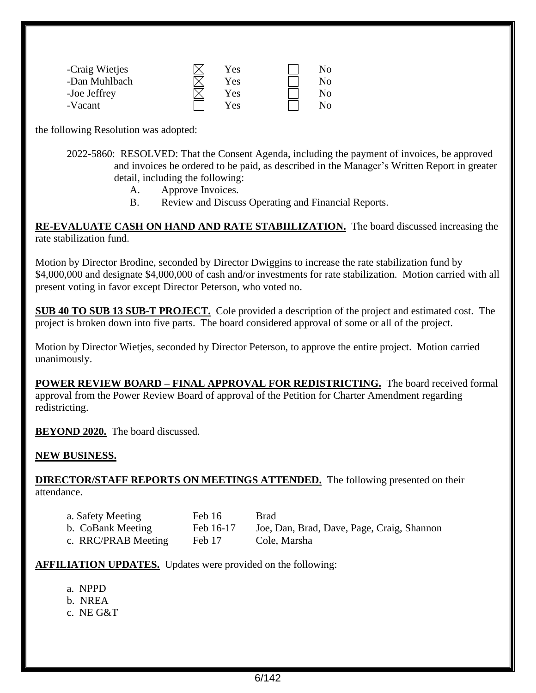| -Craig Wietjes | Yes        | No. |
|----------------|------------|-----|
| -Dan Muhlbach  | <b>Yes</b> | No. |
| -Joe Jeffrey   | Yes.       | No. |
| -Vacant        | Yes        | No. |

the following Resolution was adopted:

2022-5860: RESOLVED: That the Consent Agenda, including the payment of invoices, be approved and invoices be ordered to be paid, as described in the Manager's Written Report in greater detail, including the following:

- A. Approve Invoices.
- B. Review and Discuss Operating and Financial Reports.

**RE-EVALUATE CASH ON HAND AND RATE STABIILIZATION.** The board discussed increasing the rate stabilization fund.

Motion by Director Brodine, seconded by Director Dwiggins to increase the rate stabilization fund by \$4,000,000 and designate \$4,000,000 of cash and/or investments for rate stabilization. Motion carried with all present voting in favor except Director Peterson, who voted no.

**SUB 40 TO SUB 13 SUB-T PROJECT.** Cole provided a description of the project and estimated cost. The project is broken down into five parts. The board considered approval of some or all of the project.

Motion by Director Wietjes, seconded by Director Peterson, to approve the entire project. Motion carried unanimously.

**POWER REVIEW BOARD – FINAL APPROVAL FOR REDISTRICTING.** The board received formal approval from the Power Review Board of approval of the Petition for Charter Amendment regarding redistricting.

**BEYOND 2020.** The board discussed.

#### **NEW BUSINESS.**

**DIRECTOR/STAFF REPORTS ON MEETINGS ATTENDED.** The following presented on their attendance.

| a. Safety Meeting   | Feb 16    | <b>Brad</b>                                |
|---------------------|-----------|--------------------------------------------|
| b. CoBank Meeting   | Feb 16-17 | Joe, Dan, Brad, Dave, Page, Craig, Shannon |
| c. RRC/PRAB Meeting | Feb 17    | Cole, Marsha                               |

**AFFILIATION UPDATES.** Updates were provided on the following:

- a. NPPD
- b. NREA
- c. NE G&T